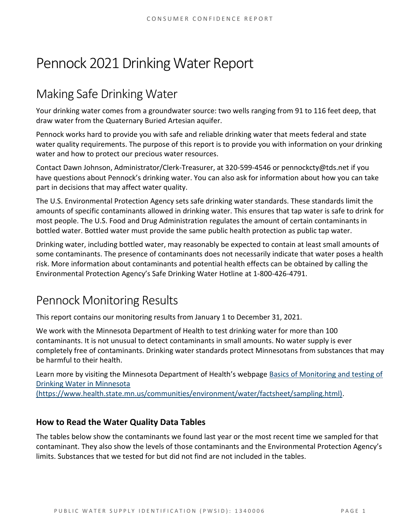# Pennock 2021 Drinking Water Report

## Making Safe Drinking Water

Your drinking water comes from a groundwater source: two wells ranging from 91 to 116 feet deep, that draw water from the Quaternary Buried Artesian aquifer.

Pennock works hard to provide you with safe and reliable drinking water that meets federal and state water quality requirements. The purpose of this report is to provide you with information on your drinking water and how to protect our precious water resources.

Contact Dawn Johnson, Administrator/Clerk-Treasurer, at 320-599-4546 or pennockcty@tds.net if you have questions about Pennock's drinking water. You can also ask for information about how you can take part in decisions that may affect water quality.

The U.S. Environmental Protection Agency sets safe drinking water standards. These standards limit the amounts of specific contaminants allowed in drinking water. This ensures that tap water is safe to drink for most people. The U.S. Food and Drug Administration regulates the amount of certain contaminants in bottled water. Bottled water must provide the same public health protection as public tap water.

Drinking water, including bottled water, may reasonably be expected to contain at least small amounts of some contaminants. The presence of contaminants does not necessarily indicate that water poses a health risk. More information about contaminants and potential health effects can be obtained by calling the Environmental Protection Agency's Safe Drinking Water Hotline at 1-800-426-4791.

### Pennock Monitoring Results

This report contains our monitoring results from January 1 to December 31, 2021.

We work with the Minnesota Department of Health to test drinking water for more than 100 contaminants. It is not unusual to detect contaminants in small amounts. No water supply is ever completely free of contaminants. Drinking water standards protect Minnesotans from substances that may be harmful to their health.

Learn more by visiting the Minnesota Department of Health's webpage [Basics of Monitoring and testing of](https://www.health.state.mn.us/communities/environment/water/factsheet/sampling.html)  [Drinking Water in Minnesota](https://www.health.state.mn.us/communities/environment/water/factsheet/sampling.html) 

[\(https://www.health.state.mn.us/communities/environment/water/factsheet/sampling.html\).](https://www.health.state.mn.us/communities/environment/water/factsheet/sampling.html)

#### **How to Read the Water Quality Data Tables**

The tables below show the contaminants we found last year or the most recent time we sampled for that contaminant. They also show the levels of those contaminants and the Environmental Protection Agency's limits. Substances that we tested for but did not find are not included in the tables.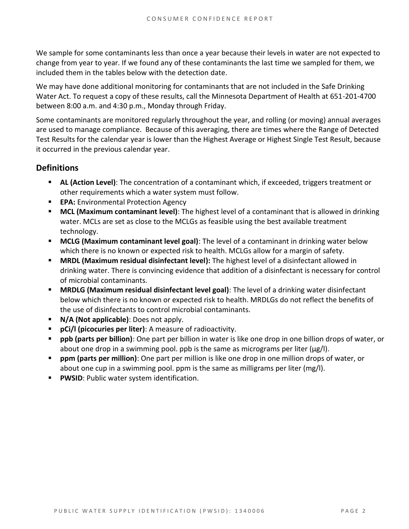We sample for some contaminants less than once a year because their levels in water are not expected to change from year to year. If we found any of these contaminants the last time we sampled for them, we included them in the tables below with the detection date.

We may have done additional monitoring for contaminants that are not included in the Safe Drinking Water Act. To request a copy of these results, call the Minnesota Department of Health at 651-201-4700 between 8:00 a.m. and 4:30 p.m., Monday through Friday.

Some contaminants are monitored regularly throughout the year, and rolling (or moving) annual averages are used to manage compliance. Because of this averaging, there are times where the Range of Detected Test Results for the calendar year is lower than the Highest Average or Highest Single Test Result, because it occurred in the previous calendar year.

#### **Definitions**

- AL (Action Level): The concentration of a contaminant which, if exceeded, triggers treatment or other requirements which a water system must follow.
- **EPA:** Environmental Protection Agency
- **MCL (Maximum contaminant level)**: The highest level of a contaminant that is allowed in drinking water. MCLs are set as close to the MCLGs as feasible using the best available treatment technology.
- **MCLG (Maximum contaminant level goal)**: The level of a contaminant in drinking water below which there is no known or expected risk to health. MCLGs allow for a margin of safety.
- **MRDL (Maximum residual disinfectant level):** The highest level of a disinfectant allowed in drinking water. There is convincing evidence that addition of a disinfectant is necessary for control of microbial contaminants.
- **MRDLG (Maximum residual disinfectant level goal)**: The level of a drinking water disinfectant below which there is no known or expected risk to health. MRDLGs do not reflect the benefits of the use of disinfectants to control microbial contaminants.
- **N/A (Not applicable)**: Does not apply.
- **pCi/l (picocuries per liter)**: A measure of radioactivity.
- **ppb (parts per billion)**: One part per billion in water is like one drop in one billion drops of water, or about one drop in a swimming pool. ppb is the same as micrograms per liter (μg/l).
- **ppm (parts per million)**: One part per million is like one drop in one million drops of water, or about one cup in a swimming pool. ppm is the same as milligrams per liter (mg/l).
- **PWSID: Public water system identification.**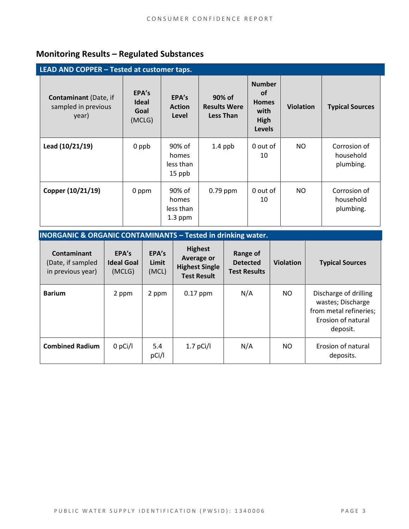#### **Monitoring Results – Regulated Substances**

| LEAD AND COPPER - Tested at customer taps.                   |                                         |                                           |                                                   |                                                                             |                  |                                        |
|--------------------------------------------------------------|-----------------------------------------|-------------------------------------------|---------------------------------------------------|-----------------------------------------------------------------------------|------------------|----------------------------------------|
| <b>Contaminant</b> (Date, if<br>sampled in previous<br>year) | EPA's<br><b>Ideal</b><br>Goal<br>(MCLG) | EPA's<br><b>Action</b><br>Level           | 90% of<br><b>Results Were</b><br><b>Less Than</b> | <b>Number</b><br><b>of</b><br><b>Homes</b><br>with<br>High<br><b>Levels</b> | <b>Violation</b> | <b>Typical Sources</b>                 |
| Lead (10/21/19)                                              | 0 ppb                                   | 90% of<br>homes<br>less than<br>15 ppb    | $1.4$ ppb                                         | 0 out of<br>10                                                              | NO.              | Corrosion of<br>household<br>plumbing. |
| Copper (10/21/19)                                            | 0 ppm                                   | 90% of<br>homes<br>less than<br>$1.3$ ppm | $0.79$ ppm                                        | 0 out of<br>10                                                              | NO.              | Corrosion of<br>household<br>plumbing. |

#### **INORGANIC & ORGANIC CONTAMINANTS – Tested in drinking water.**

| Contaminant<br>(Date, if sampled<br>in previous year) | EPA's<br><b>Ideal Goal</b><br>(MCLG) | EPA's<br>Limit<br>(MCL) | <b>Highest</b><br>Average or<br><b>Highest Single</b><br><b>Test Result</b> | Range of<br><b>Detected</b><br><b>Test Results</b> | <b>Violation</b> | <b>Typical Sources</b>                                                                                 |
|-------------------------------------------------------|--------------------------------------|-------------------------|-----------------------------------------------------------------------------|----------------------------------------------------|------------------|--------------------------------------------------------------------------------------------------------|
| <b>Barium</b>                                         | 2 ppm                                | 2 ppm                   | $0.17$ ppm                                                                  | N/A                                                | NO.              | Discharge of drilling<br>wastes; Discharge<br>from metal refineries;<br>Erosion of natural<br>deposit. |
| <b>Combined Radium</b>                                | 0 pCi/l                              | 5.4<br>pCi/l            | $1.7$ pCi/l                                                                 | N/A                                                | NO.              | Erosion of natural<br>deposits.                                                                        |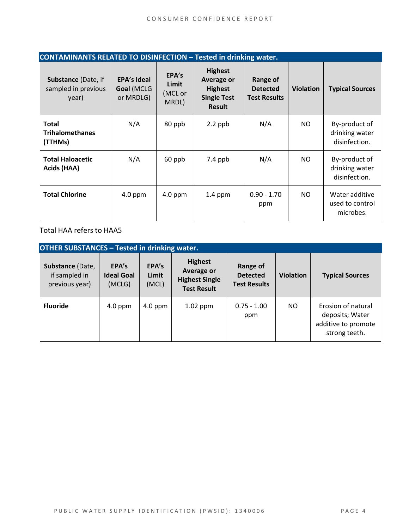| <b>CONTAMINANTS RELATED TO DISINFECTION - Tested in drinking water.</b> |                                               |                                    |                                                                                       |                                                    |                  |                                                  |
|-------------------------------------------------------------------------|-----------------------------------------------|------------------------------------|---------------------------------------------------------------------------------------|----------------------------------------------------|------------------|--------------------------------------------------|
| <b>Substance (Date, if</b><br>sampled in previous<br>year)              | <b>EPA's Ideal</b><br>Goal (MCLG<br>or MRDLG) | EPA's<br>Limit<br>(MCL or<br>MRDL) | <b>Highest</b><br>Average or<br><b>Highest</b><br><b>Single Test</b><br><b>Result</b> | Range of<br><b>Detected</b><br><b>Test Results</b> | <b>Violation</b> | <b>Typical Sources</b>                           |
| <b>Total</b><br><b>Trihalomethanes</b><br>(TTHMs)                       | N/A                                           | 80 ppb                             | $2.2$ ppb                                                                             | N/A                                                | NO.              | By-product of<br>drinking water<br>disinfection. |
| <b>Total Haloacetic</b><br>Acids (HAA)                                  | N/A                                           | 60 ppb                             | $7.4$ ppb                                                                             | N/A                                                | NO.              | By-product of<br>drinking water<br>disinfection. |
| <b>Total Chlorine</b>                                                   | $4.0$ ppm                                     | $4.0$ ppm                          | $1.4$ ppm                                                                             | $0.90 - 1.70$<br>ppm                               | NO.              | Water additive<br>used to control<br>microbes.   |

Total HAA refers to HAA5

| <b>OTHER SUBSTANCES - Tested in drinking water.</b> |                                      |                         |                                                                                    |                                                    |                  |                                                                               |  |
|-----------------------------------------------------|--------------------------------------|-------------------------|------------------------------------------------------------------------------------|----------------------------------------------------|------------------|-------------------------------------------------------------------------------|--|
| Substance (Date,<br>if sampled in<br>previous year) | EPA's<br><b>Ideal Goal</b><br>(MCLG) | EPA's<br>Limit<br>(MCL) | <b>Highest</b><br><b>Average or</b><br><b>Highest Single</b><br><b>Test Result</b> | Range of<br><b>Detected</b><br><b>Test Results</b> | <b>Violation</b> | <b>Typical Sources</b>                                                        |  |
| <b>Fluoride</b>                                     | $4.0$ ppm                            | $4.0$ ppm               | $1.02$ ppm                                                                         | $0.75 - 1.00$<br>ppm                               | NO.              | Erosion of natural<br>deposits; Water<br>additive to promote<br>strong teeth. |  |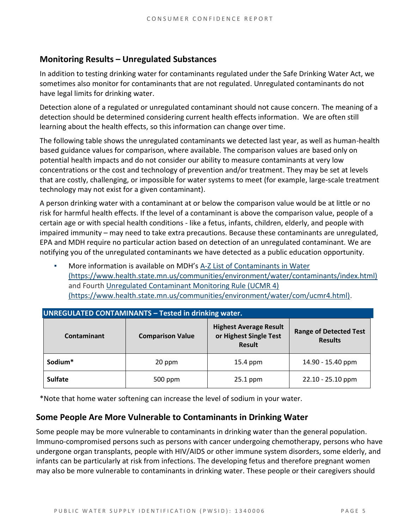#### **Monitoring Results – Unregulated Substances**

In addition to testing drinking water for contaminants regulated under the Safe Drinking Water Act, we sometimes also monitor for contaminants that are not regulated. Unregulated contaminants do not have legal limits for drinking water.

Detection alone of a regulated or unregulated contaminant should not cause concern. The meaning of a detection should be determined considering current health effects information. We are often still learning about the health effects, so this information can change over time.

The following table shows the unregulated contaminants we detected last year, as well as human-health based guidance values for comparison, where available. The comparison values are based only on potential health impacts and do not consider our ability to measure contaminants at very low concentrations or the cost and technology of prevention and/or treatment. They may be set at levels that are costly, challenging, or impossible for water systems to meet (for example, large-scale treatment technology may not exist for a given contaminant).

A person drinking water with a contaminant at or below the comparison value would be at little or no risk for harmful health effects. If the level of a contaminant is above the comparison value, people of a certain age or with special health conditions - like a fetus, infants, children, elderly, and people with impaired immunity – may need to take extra precautions. Because these contaminants are unregulated, EPA and MDH require no particular action based on detection of an unregulated contaminant. We are notifying you of the unregulated contaminants we have detected as a public education opportunity.

More information is available on MDH's A-Z List of Contaminants in Water [\(https://www.health.state.mn.us/communities/environment/water/contaminants/index.html\)](https://www.health.state.mn.us/communities/environment/water/contaminants/index.html) and Fourth [Unregulated Contaminant Monitoring Rule \(UCMR 4\)](https://www.health.state.mn.us/communities/environment/water/com/ucmr4.html)  [\(https://www.health.state.mn.us/communities/environment/water/com/ucmr4.html\).](https://www.health.state.mn.us/communities/environment/water/com/ucmr4.html)

| <b>UNREGULATED CONTAMINANTS - Tested in drinking water.</b> |                         |                                                                          |                                                 |  |  |  |  |
|-------------------------------------------------------------|-------------------------|--------------------------------------------------------------------------|-------------------------------------------------|--|--|--|--|
| Contaminant                                                 | <b>Comparison Value</b> | <b>Highest Average Result</b><br>or Highest Single Test<br><b>Result</b> | <b>Range of Detected Test</b><br><b>Results</b> |  |  |  |  |
| Sodium*<br>20 ppm                                           |                         | 15.4 ppm                                                                 | 14.90 - 15.40 ppm                               |  |  |  |  |
| <b>Sulfate</b>                                              | 500 ppm                 | $25.1$ ppm                                                               | 22.10 - 25.10 ppm                               |  |  |  |  |

\*Note that home water softening can increase the level of sodium in your water.

#### **Some People Are More Vulnerable to Contaminants in Drinking Water**

Some people may be more vulnerable to contaminants in drinking water than the general population. Immuno-compromised persons such as persons with cancer undergoing chemotherapy, persons who have undergone organ transplants, people with HIV/AIDS or other immune system disorders, some elderly, and infants can be particularly at risk from infections. The developing fetus and therefore pregnant women may also be more vulnerable to contaminants in drinking water. These people or their caregivers should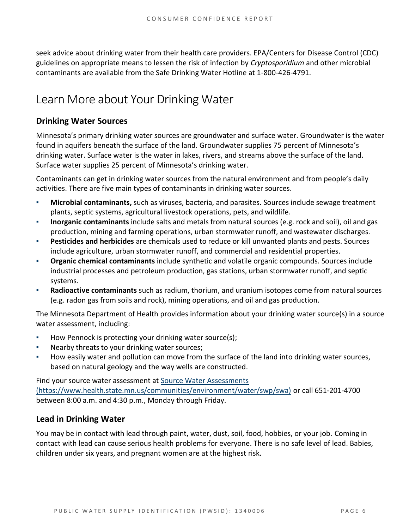seek advice about drinking water from their health care providers. EPA/Centers for Disease Control (CDC) guidelines on appropriate means to lessen the risk of infection by *Cryptosporidium* and other microbial contaminants are available from the Safe Drinking Water Hotline at 1-800-426-4791.

## Learn More about Your Drinking Water

#### **Drinking Water Sources**

Minnesota's primary drinking water sources are groundwater and surface water. Groundwater is the water found in aquifers beneath the surface of the land. Groundwater supplies 75 percent of Minnesota's drinking water. Surface water is the water in lakes, rivers, and streams above the surface of the land. Surface water supplies 25 percent of Minnesota's drinking water.

Contaminants can get in drinking water sources from the natural environment and from people's daily activities. There are five main types of contaminants in drinking water sources.

- **Microbial contaminants,** such as viruses, bacteria, and parasites. Sources include sewage treatment plants, septic systems, agricultural livestock operations, pets, and wildlife.
- **Inorganic contaminants** include salts and metals from natural sources (e.g. rock and soil), oil and gas production, mining and farming operations, urban stormwater runoff, and wastewater discharges.
- **Pesticides and herbicides** are chemicals used to reduce or kill unwanted plants and pests. Sources include agriculture, urban stormwater runoff, and commercial and residential properties.
- **Organic chemical contaminants** include synthetic and volatile organic compounds. Sources include industrial processes and petroleum production, gas stations, urban stormwater runoff, and septic systems.
- **Radioactive contaminants** such as radium, thorium, and uranium isotopes come from natural sources (e.g. radon gas from soils and rock), mining operations, and oil and gas production.

The Minnesota Department of Health provides information about your drinking water source(s) in a source water assessment, including:

- How Pennock is protecting your drinking water source(s);
- Nearby threats to your drinking water sources;
- How easily water and pollution can move from the surface of the land into drinking water sources, based on natural geology and the way wells are constructed.

Find your source water assessment at [Source Water Assessments](https://www.health.state.mn.us/communities/environment/water/swp/swa)  [\(https://www.health.state.mn.us/communities/environment/water/swp/swa\)](https://www.health.state.mn.us/communities/environment/water/swp/swa) or call 651-201-4700 between 8:00 a.m. and 4:30 p.m., Monday through Friday.

#### **Lead in Drinking Water**

You may be in contact with lead through paint, water, dust, soil, food, hobbies, or your job. Coming in contact with lead can cause serious health problems for everyone. There is no safe level of lead. Babies, children under six years, and pregnant women are at the highest risk.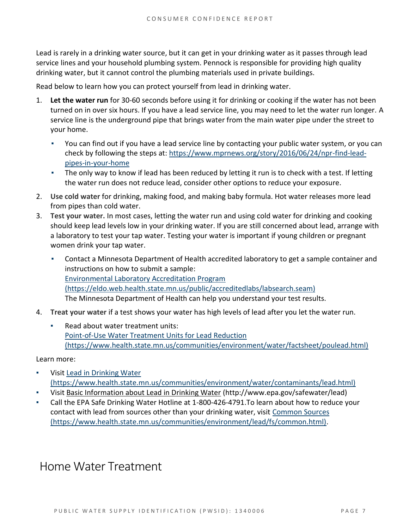Lead is rarely in a drinking water source, but it can get in your drinking water as it passes through lead service lines and your household plumbing system. Pennock is responsible for providing high quality drinking water, but it cannot control the plumbing materials used in private buildings.

Read below to learn how you can protect yourself from lead in drinking water.

- 1. **Let the water run** for 30-60 seconds before using it for drinking or cooking if the water has not been turned on in over six hours. If you have a lead service line, you may need to let the water run longer. A service line is the underground pipe that brings water from the main water pipe under the street to your home.
	- You can find out if you have a lead service line by contacting your public water system, or you can check by following the steps at: [https://www.mprnews.org/story/2016/06/24/npr-find-lead](https://www.mprnews.org/story/2016/06/24/npr-find-lead-pipes-in-your-home)[pipes-in-your-home](https://www.mprnews.org/story/2016/06/24/npr-find-lead-pipes-in-your-home)
	- **•** The only way to know if lead has been reduced by letting it run is to check with a test. If letting the water run does not reduce lead, consider other options to reduce your exposure.
- 2. **Use cold water** for drinking, making food, and making baby formula. Hot water releases more lead from pipes than cold water.
- 3. **Test your water.** In most cases, letting the water run and using cold water for drinking and cooking should keep lead levels low in your drinking water. If you are still concerned about lead, arrange with a laboratory to test your tap water. Testing your water is important if young children or pregnant women drink your tap water.
	- Contact a Minnesota Department of Health accredited laboratory to get a sample container and instructions on how to submit a sample: [Environmental Laboratory Accreditation Program](https://eldo.web.health.state.mn.us/public/accreditedlabs/labsearch.seam)  [\(https://eldo.web.health.state.mn.us/public/accreditedlabs/labsearch.seam\)](https://eldo.web.health.state.mn.us/public/accreditedlabs/labsearch.seam) The Minnesota Department of Health can help you understand your test results.
- 4. **Treat your water** if a test shows your water has high levels of lead after you let the water run.
	- Read about water treatment units: [Point-of-Use Water Treatment Units for Lead Reduction](https://www.health.state.mn.us/communities/environment/water/factsheet/poulead.html)  [\(https://www.health.state.mn.us/communities/environment/water/factsheet/poulead.html\)](https://www.health.state.mn.us/communities/environment/water/factsheet/poulead.html)

#### Learn more:

- Visit Lead in Drinking Water [\(https://www.health.state.mn.us/communities/environment/water/contaminants/lead.html\)](https://www.health.state.mn.us/communities/environment/water/contaminants/lead.html)
- Visit [Basic Information about Lead in Drinking Water](http://www.epa.gov/safewater/lead) (http://www.epa.gov/safewater/lead)
- Call the EPA Safe Drinking Water Hotline at 1-800-426-4791. To learn about how to reduce your contact with lead from sources other than your drinking water, visit [Common Sources](https://www.health.state.mn.us/communities/environment/lead/fs/common.html)  [\(https://www.health.state.mn.us/communities/environment/lead/fs/common.html\).](https://www.health.state.mn.us/communities/environment/lead/fs/common.html)

### Home Water Treatment